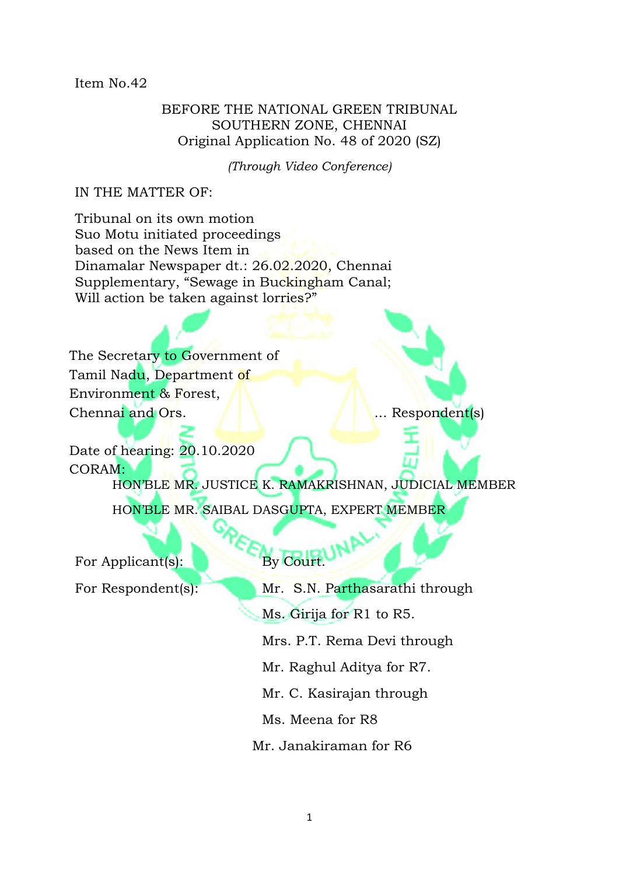## Item No.42

# BEFORE THE NATIONAL GREEN TRIBUNAL SOUTHERN ZONE, CHENNAI Original Application No. 48 of 2020 (SZ)

*(Through Video Conference)*

# IN THE MATTER OF:

Tribunal on its own motion Suo Motu initiated proceedings based on the News Item in Dinamalar Newspaper dt.: 26.02.2020, Chennai Supplementary, "Sewage in Buckingham Canal; Will action be taken against lorries?"

The Secretary to Government of Tamil Nadu, Department of Environment & Forest, Chennai and Ors. **... ... ... ... ...** ... Respondent(s)

Date of hearing: 20.10.2020 CORAM: HON'BLE MR. JUSTICE K. RAMAKRISHNAN, JUDICIAL MEMBER HON'BLE MR. SAIBAL DASGUPTA, EXPERT MEMBER

For Applicant(s): **By Court.** 

- For Respondent(s): Mr. S.N. Parthasarathi through
	- Ms. Girija for R1 to R5.
	- Mrs. P.T. Rema Devi through
	- Mr. Raghul Aditya for R7.
	- Mr. C. Kasirajan through
	- Ms. Meena for R8
	- Mr. Janakiraman for R6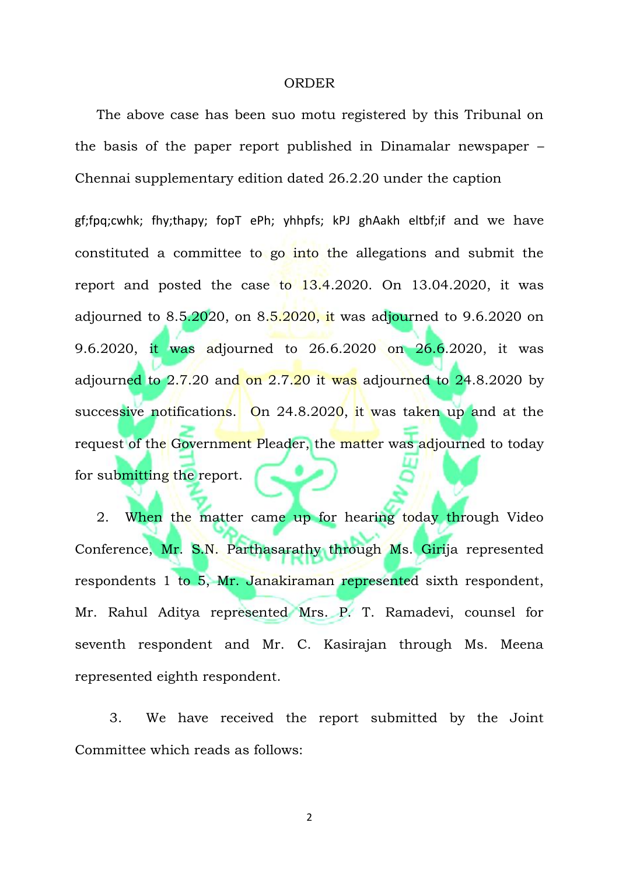### ORDER

 The above case has been suo motu registered by this Tribunal on the basis of the paper report published in Dinamalar newspaper – Chennai supplementary edition dated 26.2.20 under the caption

gf;fpq;cwhk; fhy;thapy; fopT ePh; yhhpfs; kPJ ghAakh eltbf;if and we have constituted a committee to go into the allegations and submit the report and posted the case to 13.4.2020. On 13.04.2020, it was adjourned to  $8.5.2020$ , on  $8.5.2020$ , it was adjourned to  $9.6.2020$  on 9.6.2020, it was adjourned to 26.6.2020 on 26.6.2020, it was adjourned to  $2.7.20$  and on  $2.7.20$  it was adjourned to  $24.8.2020$  by successive notifications. On 24.8.2020, it was taken up and at the request of the Government Pleader, the matter was adjourned to today for submitting the report.

2. When the matter came up for hearing today through Video Conference, Mr. S.N. Parthasarathy through Ms. Girija represented respondents 1 to 5, Mr. Janakiraman represented sixth respondent, Mr. Rahul Aditya represented Mrs. P. T. Ramadevi, counsel for seventh respondent and Mr. C. Kasirajan through Ms. Meena represented eighth respondent.

 3. We have received the report submitted by the Joint Committee which reads as follows:

2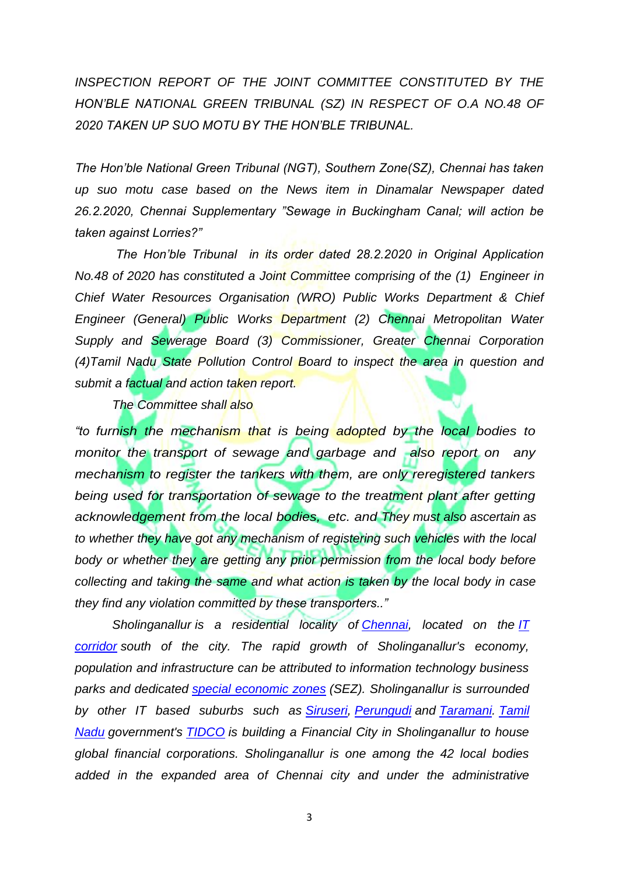*INSPECTION REPORT OF THE JOINT COMMITTEE CONSTITUTED BY THE HON'BLE NATIONAL GREEN TRIBUNAL (SZ) IN RESPECT OF O.A NO.48 OF 2020 TAKEN UP SUO MOTU BY THE HON'BLE TRIBUNAL.* 

*The Hon'ble National Green Tribunal (NGT), Southern Zone(SZ), Chennai has taken up suo motu case based on the News item in Dinamalar Newspaper dated 26.2.2020, Chennai Supplementary "Sewage in Buckingham Canal; will action be taken against Lorries?"* 

*The Hon'ble Tribunal in its order dated 28.2.2020 in Original Application No.48 of 2020 has constituted a Joint Committee comprising of the (1) Engineer in Chief Water Resources Organisation (WRO) Public Works Department & Chief Engineer (General) Public Works Department (2) Chennai Metropolitan Water Supply and Sewerage Board (3) Commissioner, Greater Chennai Corporation (4)Tamil Nadu State Pollution Control Board to inspect the area in question and submit a factual and action taken report.*

*The Committee shall also* 

*"to furnish the mechanism that is being adopted by the local bodies to monitor the transport of sewage and garbage and also report on any mechanism to register the tankers with them, are only reregistered tankers*  being used for transportation of sewage to the treatment plant after getting *acknowledgement from the local bodies, etc. and They must also ascertain as to whether they have got any mechanism of registering such vehicles with the local body or whether they are getting any prior permission from the local body before collecting and taking the same and what action is taken by the local body in case they find any violation committed by these transporters.."*

*Sholinganallur is a residential locality of [Chennai,](https://en.wikipedia.org/wiki/Chennai) located on the [IT](https://en.wikipedia.org/wiki/IT_corridor)  [corridor](https://en.wikipedia.org/wiki/IT_corridor) south of the city. The rapid growth of Sholinganallur's economy, population and infrastructure can be attributed to information technology business parks and dedicated [special economic zones](https://en.wikipedia.org/wiki/Special_economic_zones) (SEZ). Sholinganallur is surrounded by other IT based suburbs such as [Siruseri,](https://en.wikipedia.org/wiki/Siruseri) [Perungudi](https://en.wikipedia.org/wiki/Perungudi) and [Taramani.](https://en.wikipedia.org/wiki/Taramani) [Tamil](https://en.wikipedia.org/wiki/Tamil_Nadu)  [Nadu](https://en.wikipedia.org/wiki/Tamil_Nadu) government's [TIDCO](https://en.wikipedia.org/wiki/TIDCO) is building a Financial City in Sholinganallur to house global financial corporations. Sholinganallur is one among the 42 local bodies added in the expanded area of Chennai city and under the administrative*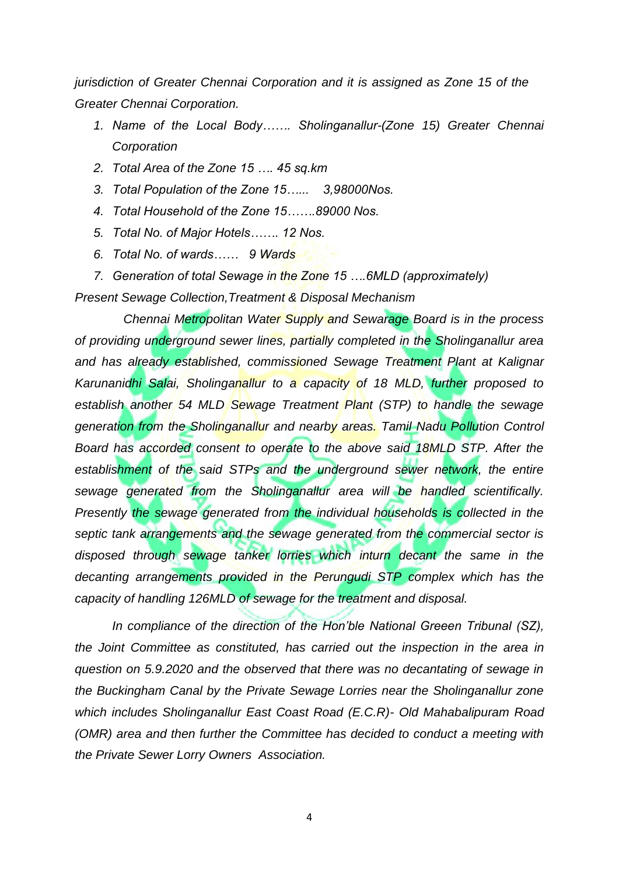*jurisdiction of Greater Chennai Corporation and it is assigned as Zone 15 of the Greater Chennai Corporation.* 

- *1. Name of the Local Body……. Sholinganallur-(Zone 15) Greater Chennai Corporation*
- *2. Total Area of the Zone 15 …. 45 sq.km*
- *3. Total Population of the Zone 15…... 3,98000Nos.*
- *4. Total Household of the Zone 15…….89000 Nos.*
- *5. Total No. of Major Hotels……. 12 Nos.*
- *6. Total No. of wards…… 9 Wards*

*7. Generation of total Sewage in the Zone 15 ….6MLD (approximately) Present Sewage Collection,Treatment & Disposal Mechanism*

 *Chennai Metropolitan Water Supply and Sewarage Board is in the process of providing underground sewer lines, partially completed in the Sholinganallur area and has already established, commissioned Sewage Treatment Plant at Kalignar Karunanidhi Salai, Sholinganallur to a capacity of 18 MLD, further proposed to establish another 54 MLD Sewage Treatment Plant (STP) to handle the sewage generation from the Sholinganallur and nearby areas. Tamil Nadu Pollution Control Board has accorded consent to operate to the above said 18MLD STP. After the*  establishment of the said STPs and the underground sewer network, the entire *sewage generated from the Sholinganallur area will be handled scientifically. Presently the sewage generated from the individual households is collected in the septic tank arrangements and the sewage generated from the commercial sector is disposed through sewage tanker lorries which inturn decant the same in the decanting arrangements provided in the Perungudi STP complex which has the capacity of handling 126MLD of sewage for the treatment and disposal.* 

*In compliance of the direction of the Hon'ble National Greeen Tribunal (SZ), the Joint Committee as constituted, has carried out the inspection in the area in question on 5.9.2020 and the observed that there was no decantating of sewage in the Buckingham Canal by the Private Sewage Lorries near the Sholinganallur zone which includes Sholinganallur East Coast Road (E.C.R)- Old Mahabalipuram Road (OMR) area and then further the Committee has decided to conduct a meeting with the Private Sewer Lorry Owners Association.*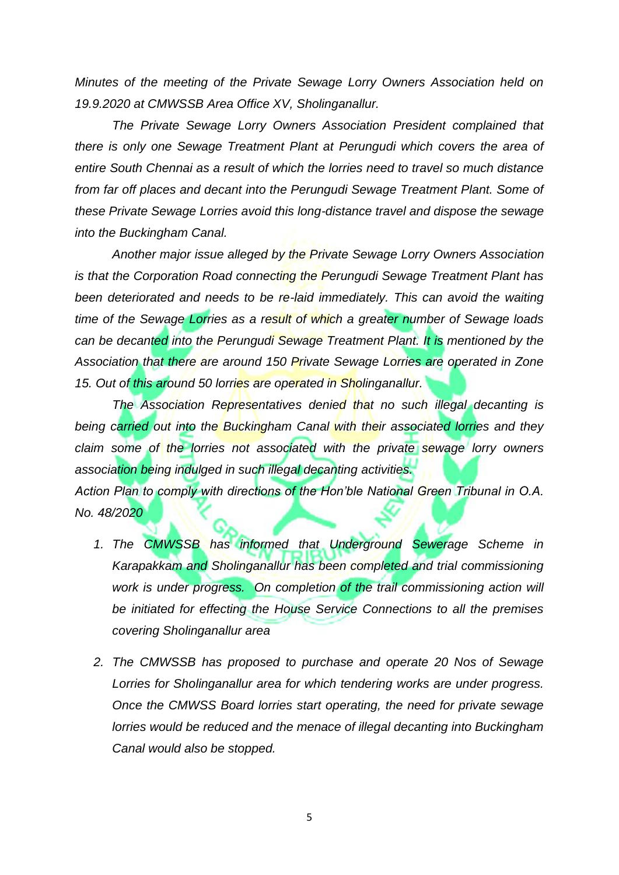*Minutes of the meeting of the Private Sewage Lorry Owners Association held on 19.9.2020 at CMWSSB Area Office XV, Sholinganallur.*

*The Private Sewage Lorry Owners Association President complained that there is only one Sewage Treatment Plant at Perungudi which covers the area of entire South Chennai as a result of which the lorries need to travel so much distance from far off places and decant into the Perungudi Sewage Treatment Plant. Some of these Private Sewage Lorries avoid this long-distance travel and dispose the sewage into the Buckingham Canal.*

*Another major issue alleged by the Private Sewage Lorry Owners Association is that the Corporation Road connecting the Perungudi Sewage Treatment Plant has*  been deteriorated and needs to be re-laid immediately. This can avoid the waiting *time of the Sewage Lorries as a result of which a greater number of Sewage loads can be decanted into the Perungudi Sewage Treatment Plant. It is mentioned by the Association that there are around 150 Private Sewage Lorries are operated in Zone 15. Out of this around 50 lorries are operated in Sholinganallur.* 

*The Association Representatives denied that no such illegal decanting is being carried out into the Buckingham Canal with their associated lorries and they claim some of the lorries not associated with the private sewage lorry owners association being indulged in such illegal decanting activities.*

*Action Plan to comply with directions of the Hon'ble National Green Tribunal in O.A. No. 48/2020*

- *1. The CMWSSB has informed that Underground Sewerage Scheme in Karapakkam and Sholinganallur has been completed and trial commissioning*  work is under progress. On completion of the trail commissioning action will *be initiated for effecting the House Service Connections to all the premises covering Sholinganallur area*
- *2. The CMWSSB has proposed to purchase and operate 20 Nos of Sewage Lorries for Sholinganallur area for which tendering works are under progress. Once the CMWSS Board lorries start operating, the need for private sewage lorries would be reduced and the menace of illegal decanting into Buckingham Canal would also be stopped.*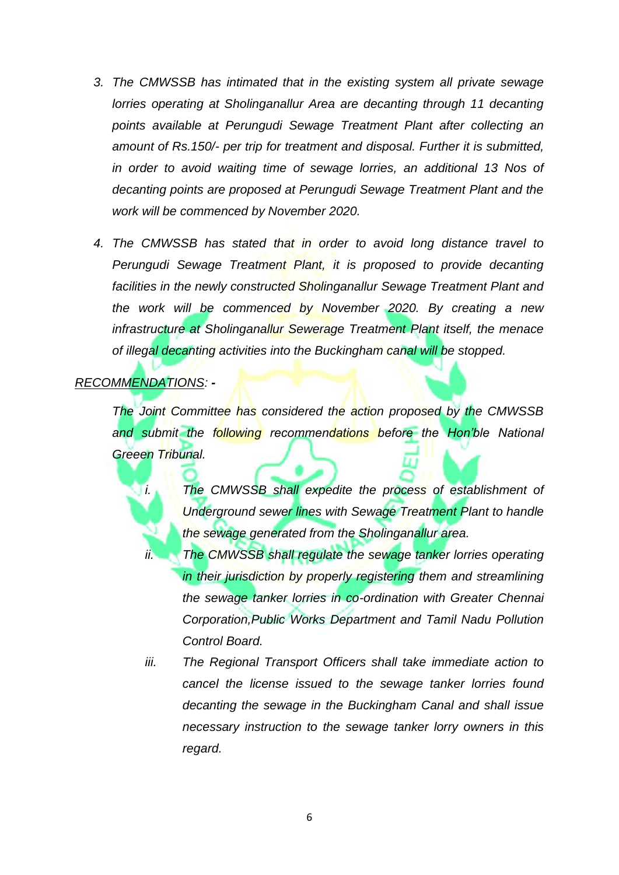- *3. The CMWSSB has intimated that in the existing system all private sewage lorries operating at Sholinganallur Area are decanting through 11 decanting points available at Perungudi Sewage Treatment Plant after collecting an amount of Rs.150/- per trip for treatment and disposal. Further it is submitted, in order to avoid waiting time of sewage lorries, an additional 13 Nos of decanting points are proposed at Perungudi Sewage Treatment Plant and the work will be commenced by November 2020.*
- *4. The CMWSSB has stated that in order to avoid long distance travel to Perungudi Sewage Treatment Plant, it is proposed to provide decanting facilities in the newly constructed Sholinganallur Sewage Treatment Plant and the work will be commenced by November 2020. By creating a new infrastructure at Sholinganallur Sewerage Treatment Plant itself, the menace of illegal decanting activities into the Buckingham canal will be stopped.*

### *RECOMMENDATIONS: -*

*The Joint Committee has considered the action proposed by the CMWSSB and submit the following recommendations before the Hon'ble National Greeen Tribunal.*

*i. The CMWSSB shall expedite the process of establishment of Underground sewer lines with Sewage Treatment Plant to handle the sewage generated from the Sholinganallur area.*

- *ii. The CMWSSB shall regulate the sewage tanker lorries operating in their jurisdiction by properly registering them and streamlining the sewage tanker lorries in co-ordination with Greater Chennai Corporation,Public Works Department and Tamil Nadu Pollution Control Board.*
- *iii. The Regional Transport Officers shall take immediate action to cancel the license issued to the sewage tanker lorries found decanting the sewage in the Buckingham Canal and shall issue necessary instruction to the sewage tanker lorry owners in this regard.*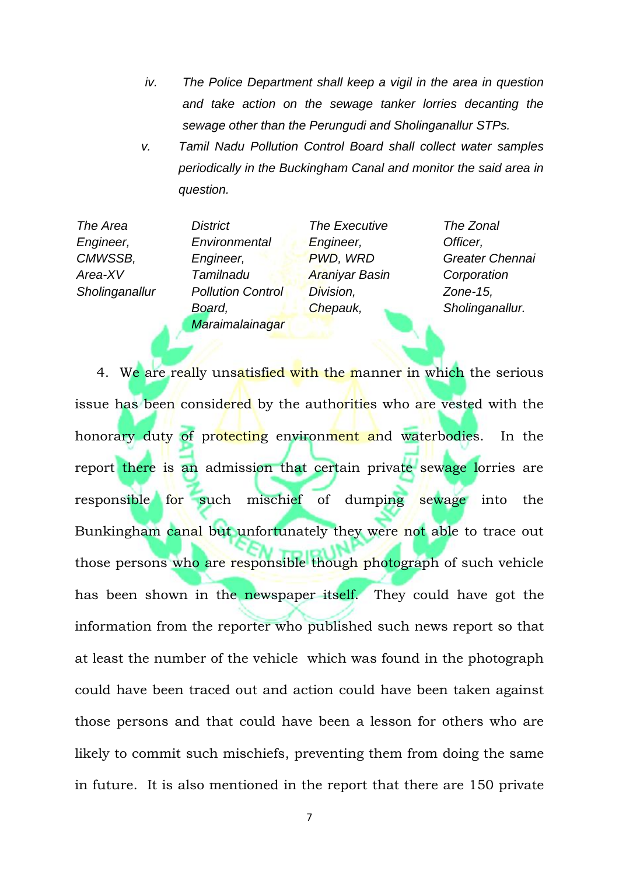- *iv. The Police Department shall keep a vigil in the area in question and take action on the sewage tanker lorries decanting the sewage other than the Perungudi and Sholinganallur STPs.*
- *v. Tamil Nadu Pollution Control Board shall collect water samples periodically in the Buckingham Canal and monitor the said area in question.*

| The Area       | <b>District</b>          | The Executive         | The Zonal       |
|----------------|--------------------------|-----------------------|-----------------|
| Engineer,      | Environmental            | Engineer,             | Officer,        |
| CMWSSB,        | Engineer,                | PWD, WRD              | Greater Chennai |
| Area-XV        | Tamilnadu                | <b>Araniyar Basin</b> | Corporation     |
| Sholinganallur | <b>Pollution Control</b> | Division,             | Zone- $15$ ,    |
|                | Board,                   | Chepauk,              | Sholinganallur. |
|                | Maraimalainagar          |                       |                 |

4. We are really unsatisfied with the manner in which the serious issue has been considered by the authorities who are vested with the honorary duty of protecting environment and waterbodies. In the report there is an admission that certain private sewage lorries are responsible for such mischief of dumping sewage into the Bunkingham canal but unfortunately they were not able to trace out those persons who are responsible though photograph of such vehicle has been shown in the newspaper itself. They could have got the information from the reporter who published such news report so that at least the number of the vehicle which was found in the photograph could have been traced out and action could have been taken against those persons and that could have been a lesson for others who are likely to commit such mischiefs, preventing them from doing the same in future. It is also mentioned in the report that there are 150 private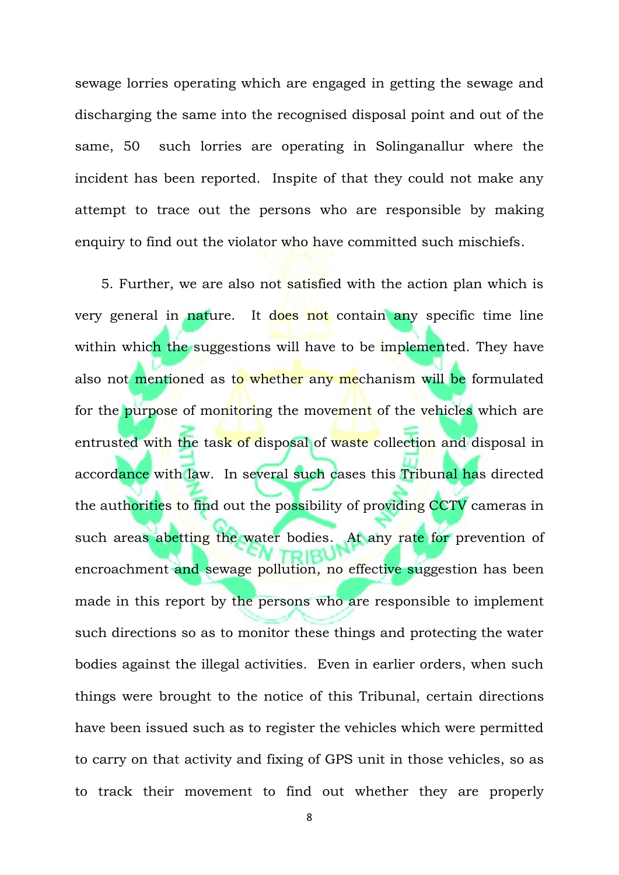sewage lorries operating which are engaged in getting the sewage and discharging the same into the recognised disposal point and out of the same, 50 such lorries are operating in Solinganallur where the incident has been reported. Inspite of that they could not make any attempt to trace out the persons who are responsible by making enquiry to find out the violator who have committed such mischiefs.

 5. Further, we are also not satisfied with the action plan which is very general in nature. It does not contain any specific time line within which the suggestions will have to be implemented. They have also not mentioned as to whether any mechanism will be formulated for the purpose of monitoring the movement of the vehicles which are entrusted with the task of disposal of waste collection and disposal in accordance with law. In several such cases this Tribunal has directed the authorities to find out the possibility of providing CCTV cameras in such areas abetting the water bodies. At any rate for prevention of encroachment and sewage pollution, no effective suggestion has been made in this report by the persons who are responsible to implement such directions so as to monitor these things and protecting the water bodies against the illegal activities. Even in earlier orders, when such things were brought to the notice of this Tribunal, certain directions have been issued such as to register the vehicles which were permitted to carry on that activity and fixing of GPS unit in those vehicles, so as to track their movement to find out whether they are properly